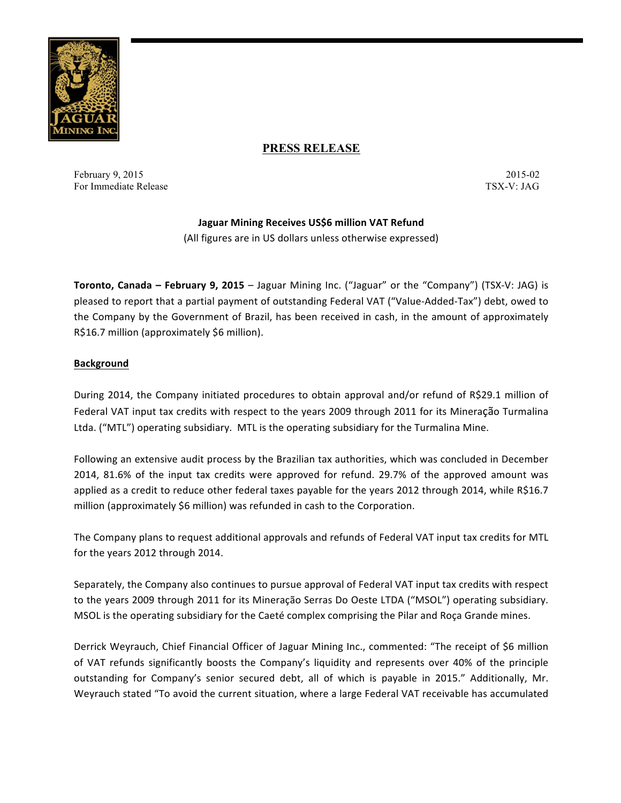

# **PRESS RELEASE**

February 9, 2015-02 2015-02 For Immediate Release TSX-V: JAG

## **Jaguar Mining Receives US\$6 million VAT Refund**

(All figures are in US dollars unless otherwise expressed)

**Toronto, Canada – February 9, 2015** – Jaguar Mining Inc. ("Jaguar" or the "Company") (TSX-V: JAG) is pleased to report that a partial payment of outstanding Federal VAT ("Value-Added-Tax") debt, owed to the Company by the Government of Brazil, has been received in cash, in the amount of approximately R\$16.7 million (approximately \$6 million).

## **Background**

During 2014, the Company initiated procedures to obtain approval and/or refund of R\$29.1 million of Federal VAT input tax credits with respect to the years 2009 through 2011 for its Mineração Turmalina Ltda. ("MTL") operating subsidiary. MTL is the operating subsidiary for the Turmalina Mine.

Following an extensive audit process by the Brazilian tax authorities, which was concluded in December 2014, 81.6% of the input tax credits were approved for refund. 29.7% of the approved amount was applied as a credit to reduce other federal taxes payable for the years 2012 through 2014, while R\$16.7 million (approximately \$6 million) was refunded in cash to the Corporation.

The Company plans to request additional approvals and refunds of Federal VAT input tax credits for MTL for the years 2012 through 2014.

Separately, the Company also continues to pursue approval of Federal VAT input tax credits with respect to the years 2009 through 2011 for its Mineração Serras Do Oeste LTDA ("MSOL") operating subsidiary. MSOL is the operating subsidiary for the Caeté complex comprising the Pilar and Roça Grande mines.

Derrick Weyrauch, Chief Financial Officer of Jaguar Mining Inc., commented: "The receipt of \$6 million of VAT refunds significantly boosts the Company's liquidity and represents over 40% of the principle outstanding for Company's senior secured debt, all of which is payable in 2015." Additionally, Mr. Weyrauch stated "To avoid the current situation, where a large Federal VAT receivable has accumulated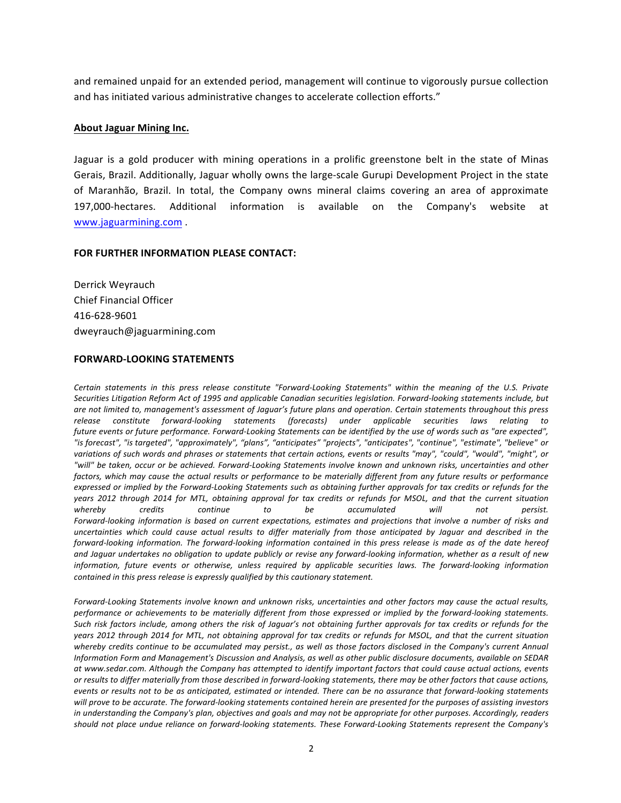and remained unpaid for an extended period, management will continue to vigorously pursue collection and has initiated various administrative changes to accelerate collection efforts."

#### **About Jaguar Mining Inc.**

Jaguar is a gold producer with mining operations in a prolific greenstone belt in the state of Minas Gerais, Brazil. Additionally, Jaguar wholly owns the large-scale Gurupi Development Project in the state of Maranhão, Brazil. In total, the Company owns mineral claims covering an area of approximate 197,000-hectares. Additional information is available on the Company's website at www.jaguarmining.com .

### **FOR FURTHER INFORMATION PLEASE CONTACT:**

Derrick Weyrauch Chief Financial Officer 416-628-9601 dweyrauch@jaguarmining.com

#### **FORWARD-LOOKING STATEMENTS**

Certain statements in this press release constitute "Forward-Looking Statements" within the meaning of the U.S. Private Securities Litigation Reform Act of 1995 and applicable Canadian securities legislation. Forward-looking statements include, but are not limited to, management's assessment of Jaguar's future plans and operation. Certain statements throughout this press *release constitute forward-looking statements (forecasts) under applicable securities laws relating to*  future events or future performance. Forward-Looking Statements can be identified by the use of words such as "are expected", *"is forecast", "is targeted", "approximately", "plans", "anticipates" "projects", "anticipates", "continue", "estimate", "believe" or*  variations of such words and phrases or statements that certain actions, events or results "may", "could", "would", "might", or "will" be taken, occur or be achieved. Forward-Looking Statements involve known and unknown risks, uncertainties and other factors, which may cause the actual results or performance to be materially different from any future results or performance expressed or implied by the Forward-Looking Statements such as obtaining further approvals for tax credits or refunds for the years 2012 through 2014 for MTL, obtaining approval for tax credits or refunds for MSOL, and that the current situation whereby credits continue to be accumulated will not persist. Forward-looking information is based on current expectations, estimates and projections that involve a number of risks and *uncertainties* which could cause actual results to differ materially from those anticipated by Jaguar and described in the *forward-looking information.* The *forward-looking information contained in this press release is made as of the date hereof* and Jaguar undertakes no obligation to update publicly or revise any forward-looking information, whether as a result of new information, future events or otherwise, unless required by applicable securities laws. The forward-looking information *contained in this press release is expressly qualified by this cautionary statement.* 

Forward-Looking Statements involve known and unknown risks, uncertainties and other factors may cause the actual results, performance or achievements to be materially different from those expressed or implied by the forward-looking statements. Such risk factors include, among others the risk of Jaguar's not obtaining further approvals for tax credits or refunds for the years 2012 through 2014 for MTL, not obtaining approval for tax credits or refunds for MSOL, and that the current situation whereby credits continue to be accumulated may persist., as well as those factors disclosed in the Company's current Annual Information Form and Management's Discussion and Analysis, as well as other public disclosure documents, available on SEDAR at www.sedar.com. Although the Company has attempted to identify important factors that could cause actual actions, events or results to differ materially from those described in forward-looking statements, there may be other factors that cause actions, *events* or results not to be as anticipated, estimated or intended. There can be no assurance that forward-looking statements will prove to be accurate. The forward-looking statements contained herein are presented for the purposes of assisting investors in understanding the Company's plan, objectives and goals and may not be appropriate for other purposes. Accordingly, readers should not place undue reliance on forward-looking statements. These Forward-Looking Statements represent the Company's